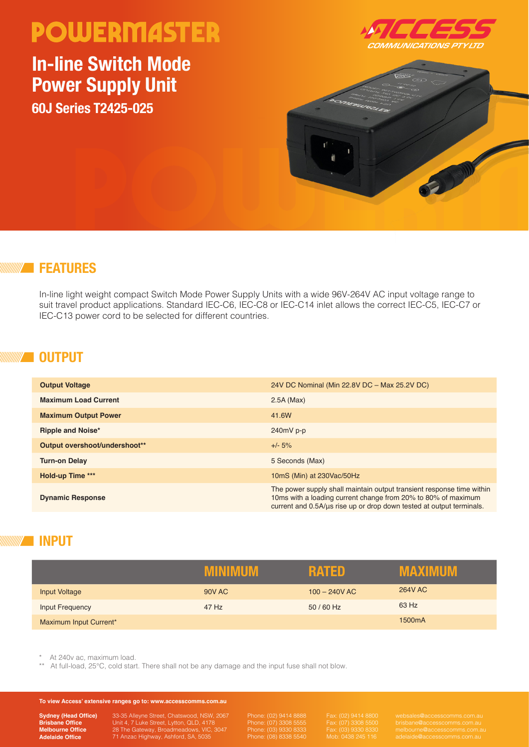## **POWERMASTER**

### **In-line Switch Mode Power Supply Unit 60J Series T2425-025**





#### **FEATURES**

In-line light weight compact Switch Mode Power Supply Units with a wide 96V-264V AC input voltage range to suit travel product applications. Standard IEC-C6, IEC-C8 or IEC-C14 inlet allows the correct IEC-C5, IEC-C7 or IEC-C13 power cord to be selected for different countries.

#### **OUTPUT**

| <b>Output Voltage</b>         | 24V DC Nominal (Min 22.8V DC - Max 25.2V DC)                                                                                                                                                                   |
|-------------------------------|----------------------------------------------------------------------------------------------------------------------------------------------------------------------------------------------------------------|
| <b>Maximum Load Current</b>   | $2.5A$ (Max)                                                                                                                                                                                                   |
| <b>Maximum Output Power</b>   | 41.6W                                                                                                                                                                                                          |
| Ripple and Noise*             | $240mV$ p-p                                                                                                                                                                                                    |
| Output overshoot/undershoot** | $+/- 5\%$                                                                                                                                                                                                      |
| <b>Turn-on Delay</b>          | 5 Seconds (Max)                                                                                                                                                                                                |
| Hold-up Time ***              | 10mS (Min) at 230Vac/50Hz                                                                                                                                                                                      |
| <b>Dynamic Response</b>       | The power supply shall maintain output transient response time within<br>10ms with a loading current change from 20% to 80% of maximum<br>current and 0.5A/us rise up or drop down tested at output terminals. |

#### **INPUT**

|                        | <b>ALLAWER</b> | RATED           | <b>TANK</b><br>71 I I V |
|------------------------|----------------|-----------------|-------------------------|
| <b>Input Voltage</b>   | <b>90V AC</b>  | $100 - 240V$ AC | <b>264V AC</b>          |
| Input Frequency        | 47 Hz          | 50 / 60 Hz      | 63 Hz                   |
| Maximum Input Current* |                |                 | 1500mA                  |

At 240y ac, maximum load.

At full-load, 25°C, cold start. There shall not be any damage and the input fuse shall not blow.

#### **To view Access' extensive ranges go to: www.accesscomms.com.au**

**Sydney (Head Office) Brisbane Office Melbourne Office Adelaide Office**

33-35 Alleyne Street, Chatswood, NSW, 2067 Unit 4, 7 Luke Street, Lytton, QLD, 4178 28 The Gateway, Broadmeadows, VIC, 3047 71 Anzac Highway, Ashford, SA, 5035

Phone: (07) 3308 5555 Phone: (03) 9330 8333

Fax: (07) 3308 5500 Fax: (03) 9330 8330 Mob: 0438 245 116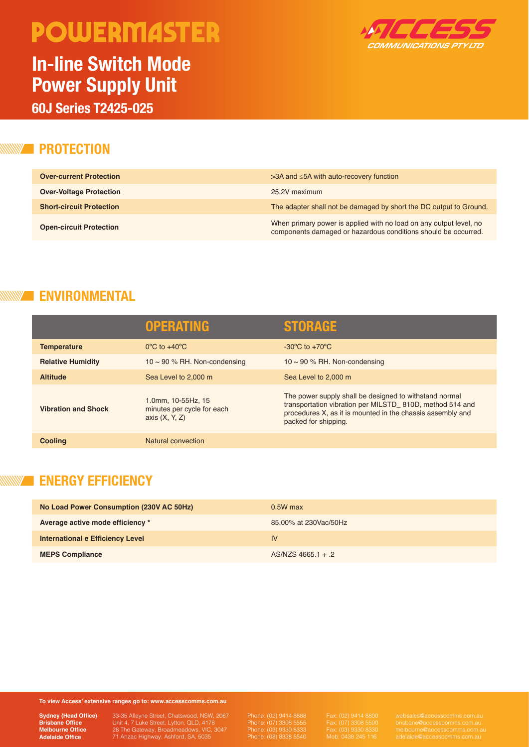# **POWERMASTER**

### **In-line Switch Mode Power Supply Unit**



**60J Series T2425-025**

#### **ZE PROTECTION**

| <b>Over-current Protection</b>  | $>3A$ and $\leq 5A$ with auto-recovery function                                                                                      |
|---------------------------------|--------------------------------------------------------------------------------------------------------------------------------------|
| <b>Over-Voltage Protection</b>  | 25.2V maximum                                                                                                                        |
| <b>Short-circuit Protection</b> | The adapter shall not be damaged by short the DC output to Ground.                                                                   |
| <b>Open-circuit Protection</b>  | When primary power is applied with no load on any output level, no<br>components damaged or hazardous conditions should be occurred. |

#### **ENVIRONMENTAL**

|                            | <b>OPERATING</b>                                                     | <b>STORAGE</b>                                                                                                                                                                                           |
|----------------------------|----------------------------------------------------------------------|----------------------------------------------------------------------------------------------------------------------------------------------------------------------------------------------------------|
| <b>Temperature</b>         | $0^{\circ}$ C to $+40^{\circ}$ C                                     | $-30^{\circ}$ C to $+70^{\circ}$ C                                                                                                                                                                       |
| <b>Relative Humidity</b>   | 10 $\sim$ 90 % RH. Non-condensing                                    | 10 $\sim$ 90 % RH. Non-condensing                                                                                                                                                                        |
| <b>Altitude</b>            | Sea Level to 2,000 m                                                 | Sea Level to 2,000 m                                                                                                                                                                                     |
| <b>Vibration and Shock</b> | 1.0mm, 10-55Hz, 15<br>minutes per cycle for each<br>axis $(X, Y, Z)$ | The power supply shall be designed to withstand normal<br>transportation vibration per MILSTD 810D, method 514 and<br>procedures X, as it is mounted in the chassis assembly and<br>packed for shipping. |
| <b>Cooling</b>             | Natural convection                                                   |                                                                                                                                                                                                          |

#### **ENERGY EFFICIENCY**

| No Load Power Consumption (230V AC 50Hz) | $0.5W$ max            |
|------------------------------------------|-----------------------|
| Average active mode efficiency *         | 85.00% at 230Vac/50Hz |
| International e Efficiency Level         | IV                    |
| <b>MEPS Compliance</b>                   | $AS/NZS$ 4665.1 + 2   |

**To view Access' extensive ranges go to: www.accesscomms.com.au**

**Sydney (Head Office) Brisbane Office Melbourne Office Adelaide Office**

33-35 Alleyne Street, Chatswood, NSW, 2067 Unit 4, 7 Luke Street, Lytton, QLD, 4178 28 The Gateway, Broadmeadows, VIC, 3047 71 Anzac Highway, Ashford, SA, 5035

Phone: (02) 9414 8888 Phone: (07) 3308 5555 Phone: (03) 9330 8333 Phone: (08) 8338 5540

Fax: (07) 3308 5500 Fax: (03) 9330 8330 Mob: 0438 245 116